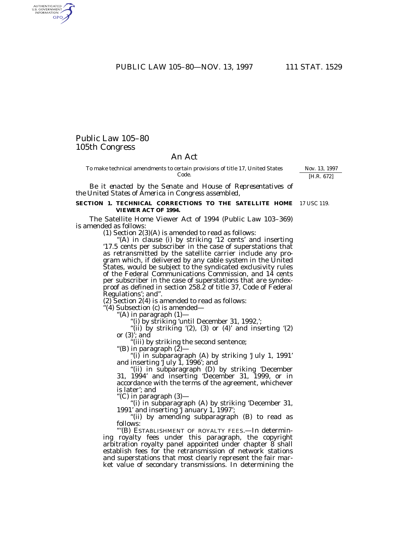PUBLIC LAW 105-80-NOV. 13, 1997 111 STAT. 1529

# Public Law 105–80 105th Congress

AUTHENTICATED<br>U.S. GOVERNMENT<br>INFORMATION **GPO** 

# An Act

To make technical amendments to certain provisions of title 17, United States Code.

*Be it enacted by the Senate and House of Representatives of the United States of America in Congress assembled*,

#### **SECTION 1. TECHNICAL CORRECTIONS TO THE SATELLITE HOME** 17 USC 119. **VIEWER ACT OF 1994.**

The Satellite Home Viewer Act of 1994 (Public Law 103–369) is amended as follows:

(1) Section 2(3)(A) is amended to read as follows:

'(A) in clause (i) by striking '12 cents' and inserting '17.5 cents per subscriber in the case of superstations that as retransmitted by the satellite carrier include any program which, if delivered by any cable system in the United States, would be subject to the syndicated exclusivity rules of the Federal Communications Commission, and 14 cents per subscriber in the case of superstations that are syndexproof as defined in section 258.2 of title 37, Code of Federal Regulations'; and''.

(2) Section 2(4) is amended to read as follows:

"(4) Subsection (c) is amended—<br>"(A) in paragraph  $(1)$ —

"(i) by striking 'until December 31, 1992,';

"(ii) by striking  $(2)$ ,  $(3)$  or  $(4)$ ' and inserting  $(2)$ or (3)'; and

''(iii) by striking the second sentence;

''(B) in paragraph (2)—

''(i) in subparagraph (A) by striking 'July 1, 1991' and inserting 'July 1, 1996'; and

''(ii) in subparagraph (D) by striking 'December 31, 1994' and inserting 'December 31, 1999, or in accordance with the terms of the agreement, whichever is later'; and

''(C) in paragraph (3)—

''(i) in subparagraph (A) by striking 'December 31, 1991' and inserting 'January 1, 1997';

"(ii) by amending subparagraph (B) to read as follows:

'''(B) ESTABLISHMENT OF ROYALTY FEES.—In determining royalty fees under this paragraph, the copyright arbitration royalty panel appointed under chapter 8 shall establish fees for the retransmission of network stations and superstations that most clearly represent the fair market value of secondary transmissions. In determining the

Nov. 13, 1997 [H.R. 672]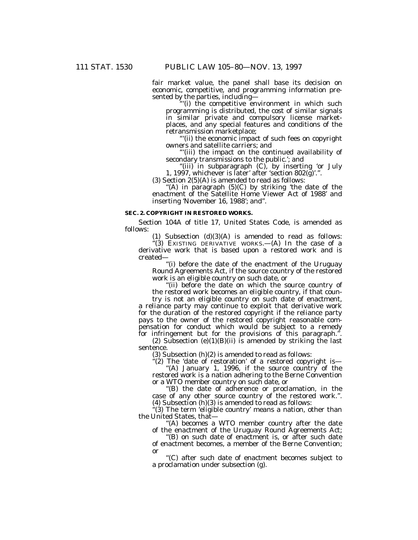fair market value, the panel shall base its decision on economic, competitive, and programming information presented by the parties, including—

'''(i) the competitive environment in which such programming is distributed, the cost of similar signals in similar private and compulsory license marketplaces, and any special features and conditions of the retransmission marketplace;

'''(ii) the economic impact of such fees on copyright owners and satellite carriers; and

'''(iii) the impact on the continued availability of secondary transmissions to the public.'; and

''(iii) in subparagraph (C), by inserting 'or July 1, 1997, whichever is later' after 'section  $802(\tilde{g})$ '.".

(3) Section  $2(5)(A)$  is amended to read as follows:

''(A) in paragraph (5)(C) by striking 'the date of the enactment of the Satellite Home Viewer Act of 1988' and inserting 'November 16, 1988'; and''.

## **SEC. 2. COPYRIGHT IN RESTORED WORKS.**

Section 104A of title 17, United States Code, is amended as follows:

(1) Subsection  $(d)(3)(A)$  is amended to read as follows:

''(3) EXISTING DERIVATIVE WORKS.—(A) In the case of a derivative work that is based upon a restored work and is created—

''(i) before the date of the enactment of the Uruguay Round Agreements Act, if the source country of the restored work is an eligible country on such date, or

''(ii) before the date on which the source country of the restored work becomes an eligible country, if that coun-

try is not an eligible country on such date of enactment, a reliance party may continue to exploit that derivative work for the duration of the restored copyright if the reliance party pays to the owner of the restored copyright reasonable compensation for conduct which would be subject to a remedy for infringement but for the provisions of this paragraph."

(2) Subsection (e)(1)(B)(ii) is amended by striking the last sentence.

 $(3)$  Subsection  $(h)(2)$  is amended to read as follows:

"(2) The 'date of restoration' of a restored copyright is-

"(A) January 1, 1996, if the source country of the restored work is a nation adhering to the Berne Convention or a WTO member country on such date, or

''(B) the date of adherence or proclamation, in the case of any other source country of the restored work.''. (4) Subsection (h)(3) is amended to read as follows:

 $\cdot$ (3) The term 'eligible country' means a nation, other than the United States, that—

"(A) becomes a WTO member country after the date of the enactment of the Uruguay Round Agreements Act;

''(B) on such date of enactment is, or after such date of enactment becomes, a member of the Berne Convention; or

''(C) after such date of enactment becomes subject to a proclamation under subsection (g).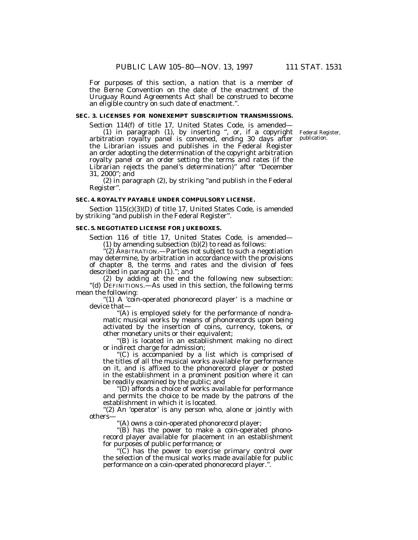For purposes of this section, a nation that is a member of the Berne Convention on the date of the enactment of the Uruguay Round Agreements Act shall be construed to become an eligible country on such date of enactment.''.

## **SEC. 3. LICENSES FOR NONEXEMPT SUBSCRIPTION TRANSMISSIONS.**

Section 114(f) of title 17, United States Code, is amended—

(1) in paragraph (1), by inserting '', or, if a copyright arbitration royalty panel is convened, ending 30 days after the Librarian issues and publishes in the Federal Register an order adopting the determination of the copyright arbitration royalty panel or an order setting the terms and rates (if the Librarian rejects the panel's determination)'' after ''December 31, 2000''; and

(2) in paragraph (2), by striking ''and publish in the Federal Register''.

#### **SEC. 4. ROYALTY PAYABLE UNDER COMPULSORY LICENSE.**

Section 115(c)(3)(D) of title 17, United States Code, is amended by striking "and publish in the Federal Register".

#### **SEC. 5. NEGOTIATED LICENSE FOR JUKEBOXES.**

Section 116 of title 17, United States Code, is amended— (1) by amending subsection (b)(2) to read as follows:

''(2) ARBITRATION.—Parties not subject to such a negotiation may determine, by arbitration in accordance with the provisions of chapter 8, the terms and rates and the division of fees described in paragraph (1).''; and

(2) by adding at the end the following new subsection: "(d) DEFINITIONS.—As used in this section, the following terms mean the following:

"(1) A 'coin-operated phonorecord player' is a machine or device that—

'(A) is employed solely for the performance of nondramatic musical works by means of phonorecords upon being activated by the insertion of coins, currency, tokens, or other monetary units or their equivalent;

''(B) is located in an establishment making no direct or indirect charge for admission;

''(C) is accompanied by a list which is comprised of the titles of all the musical works available for performance on it, and is affixed to the phonorecord player or posted in the establishment in a prominent position where it can be readily examined by the public; and

''(D) affords a choice of works available for performance and permits the choice to be made by the patrons of the establishment in which it is located.

"(2) An 'operator' is any person who, alone or jointly with others—

''(A) owns a coin-operated phonorecord player;

''(B) has the power to make a coin-operated phonorecord player available for placement in an establishment for purposes of public performance; or

'(C) has the power to exercise primary control over the selection of the musical works made available for public performance on a coin-operated phonorecord player.''.

Federal Register, publication.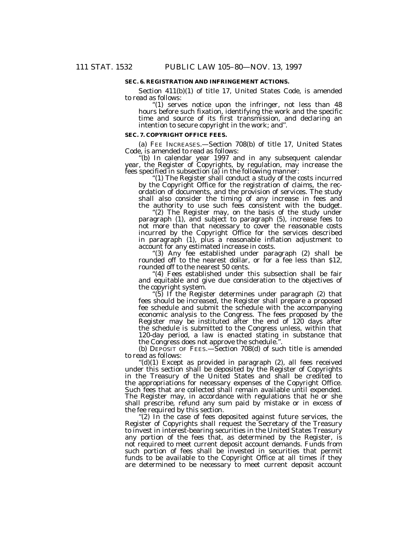## **SEC. 6. REGISTRATION AND INFRINGEMENT ACTIONS.**

Section 411(b)(1) of title 17, United States Code, is amended to read as follows:

"(1) serves notice upon the infringer, not less than 48 hours before such fixation, identifying the work and the specific time and source of its first transmission, and declaring an intention to secure copyright in the work; and''.

#### **SEC. 7. COPYRIGHT OFFICE FEES.**

(a) FEE INCREASES.—Section 708(b) of title 17, United States Code, is amended to read as follows:

''(b) In calendar year 1997 and in any subsequent calendar year, the Register of Copyrights, by regulation, may increase the fees specified in subsection (a) in the following manner:

''(1) The Register shall conduct a study of the costs incurred by the Copyright Office for the registration of claims, the recordation of documents, and the provision of services. The study shall also consider the timing of any increase in fees and the authority to use such fees consistent with the budget.

"(2) The Register may, on the basis of the study under paragraph (1), and subject to paragraph (5), increase fees to not more than that necessary to cover the reasonable costs incurred by the Copyright Office for the services described in paragraph (1), plus a reasonable inflation adjustment to account for any estimated increase in costs.

''(3) Any fee established under paragraph (2) shall be rounded off to the nearest dollar, or for a fee less than \$12, rounded off to the nearest 50 cents.

''(4) Fees established under this subsection shall be fair and equitable and give due consideration to the objectives of the copyright system.

 $(5)$  If the Register determines under paragraph  $(2)$  that fees should be increased, the Register shall prepare a proposed fee schedule and submit the schedule with the accompanying economic analysis to the Congress. The fees proposed by the Register may be instituted after the end of 120 days after the schedule is submitted to the Congress unless, within that 120-day period, a law is enacted stating in substance that the Congress does not approve the schedule.''.

(b) DEPOSIT OF FEES.—Section 708(d) of such title is amended to read as follows:

''(d)(1) Except as provided in paragraph (2), all fees received under this section shall be deposited by the Register of Copyrights in the Treasury of the United States and shall be credited to the appropriations for necessary expenses of the Copyright Office. Such fees that are collected shall remain available until expended. The Register may, in accordance with regulations that he or she shall prescribe, refund any sum paid by mistake or in excess of the fee required by this section.

"(2) In the case of fees deposited against future services, the Register of Copyrights shall request the Secretary of the Treasury to invest in interest-bearing securities in the United States Treasury any portion of the fees that, as determined by the Register, is not required to meet current deposit account demands. Funds from such portion of fees shall be invested in securities that permit funds to be available to the Copyright Office at all times if they are determined to be necessary to meet current deposit account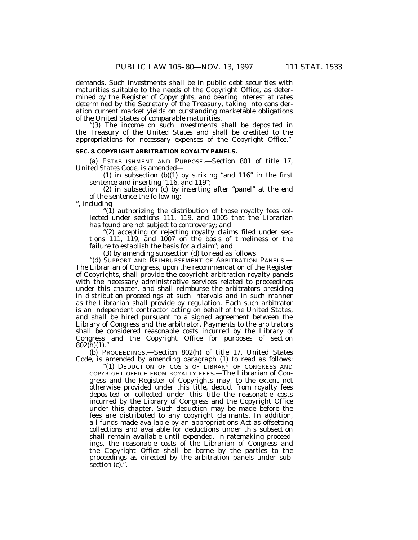demands. Such investments shall be in public debt securities with maturities suitable to the needs of the Copyright Office, as determined by the Register of Copyrights, and bearing interest at rates determined by the Secretary of the Treasury, taking into consideration current market yields on outstanding marketable obligations of the United States of comparable maturities.

''(3) The income on such investments shall be deposited in the Treasury of the United States and shall be credited to the appropriations for necessary expenses of the Copyright Office.''.

#### **SEC. 8. COPYRIGHT ARBITRATION ROYALTY PANELS.**

(a) ESTABLISHMENT AND PURPOSE.—Section 801 of title 17, United States Code, is amended—

(1) in subsection  $(b)(1)$  by striking "and 116" in the first sentence and inserting "116, and 119";

(2) in subsection (c) by inserting after ''panel'' at the end of the sentence the following:

'', including— " $(1)$  authorizing the distribution of those royalty fees col-

lected under sections 111, 119, and 1005 that the Librarian has found are not subject to controversy; and

"(2) accepting or rejecting royalty claims filed under sections 111, 119, and 1007 on the basis of timeliness or the failure to establish the basis for a claim''; and

(3) by amending subsection (d) to read as follows:

''(d) SUPPORT AND REIMBURSEMENT OF ARBITRATION PANELS.— The Librarian of Congress, upon the recommendation of the Register of Copyrights, shall provide the copyright arbitration royalty panels with the necessary administrative services related to proceedings under this chapter, and shall reimburse the arbitrators presiding in distribution proceedings at such intervals and in such manner as the Librarian shall provide by regulation. Each such arbitrator is an independent contractor acting on behalf of the United States, and shall be hired pursuant to a signed agreement between the Library of Congress and the arbitrator. Payments to the arbitrators shall be considered reasonable costs incurred by the Library of Congress and the Copyright Office for purposes of section  $802(h)(1)$ .".

(b) PROCEEDINGS.—Section 802(h) of title 17, United States Code, is amended by amending paragraph (1) to read as follows:

''(1) DEDUCTION OF COSTS OF LIBRARY OF CONGRESS AND COPYRIGHT OFFICE FROM ROYALTY FEES.—The Librarian of Congress and the Register of Copyrights may, to the extent not otherwise provided under this title, deduct from royalty fees deposited or collected under this title the reasonable costs incurred by the Library of Congress and the Copyright Office under this chapter. Such deduction may be made before the fees are distributed to any copyright claimants. In addition, all funds made available by an appropriations Act as offsetting collections and available for deductions under this subsection shall remain available until expended. In ratemaking proceedings, the reasonable costs of the Librarian of Congress and the Copyright Office shall be borne by the parties to the proceedings as directed by the arbitration panels under subsection (c).".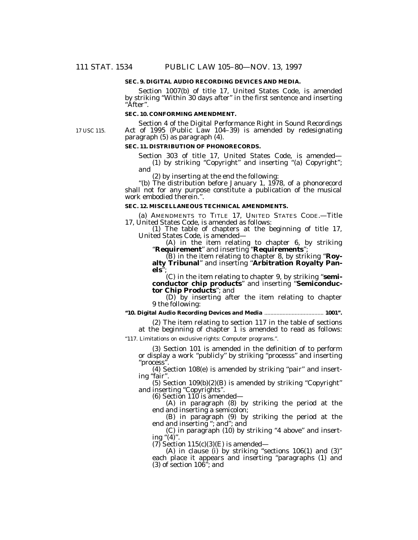#### **SEC. 9. DIGITAL AUDIO RECORDING DEVICES AND MEDIA.**

Section 1007(b) of title 17, United States Code, is amended by striking ''Within 30 days after'' in the first sentence and inserting ''After''.

## **SEC. 10. CONFORMING AMENDMENT.**

17 USC 115.

Section 4 of the Digital Performance Right in Sound Recordings Act of 1995 (Public Law 104–39) is amended by redesignating paragraph (5) as paragraph (4).

# **SEC. 11. DISTRIBUTION OF PHONORECORDS.**

Section 303 of title 17, United States Code, is amended—

(1) by striking "Copyright" and inserting "(a) Copyright"; and

(2) by inserting at the end the following:

''(b) The distribution before January 1, 1978, of a phonorecord shall not for any purpose constitute a publication of the musical work embodied therein.''.

## **SEC. 12. MISCELLANEOUS TECHNICAL AMENDMENTS.**

(a) AMENDMENTS TO TITLE 17, UNITED STATES CODE.—Title 17, United States Code, is amended as follows:

(1) The table of chapters at the beginning of title 17, United States Code, is amended—

(A) in the item relating to chapter 6, by striking ''**Requirement**'' and inserting ''**Requirements**'';

(B) in the item relating to chapter 8, by striking ''**Royalty Tribunal**'' and inserting ''**Arbitration Royalty Pan**els<sup>"</sup>

(C) in the item relating to chapter 9, by striking ''**semiconductor chip products**'' and inserting ''**Semiconductor Chip Products**''; and

(D) by inserting after the item relating to chapter 9 the following:

**''10. Digital Audio Recording Devices and Media** ....................................... **1001''.**

(2) The item relating to section 117 in the table of sections at the beginning of chapter 1 is amended to read as follows:

''117. Limitations on exclusive rights: Computer programs.''.

(3) Section 101 is amended in the definition of to perform or display a work ''publicly'' by striking ''processs'' and inserting ''process''.

(4) Section 108(e) is amended by striking ''pair'' and inserting "fair".

 $(5)$  Section  $109(b)(2)(B)$  is amended by striking "Copyright" and inserting "Copyrights".

 $(6)$  Section 110 is amended—

(A) in paragraph (8) by striking the period at the end and inserting a semicolon;

(B) in paragraph (9) by striking the period at the end and inserting ''; and''; and

(C) in paragraph (10) by striking ''4 above'' and inserting " $(4)$ ".

 $(7)$  Section 115(c)(3)(E) is amended—

(A) in clause (i) by striking "sections 106(1) and (3)" each place it appears and inserting "paragraphs (1) and  $(3)$  of section  $10\overline{6}$ <sup>3</sup>; and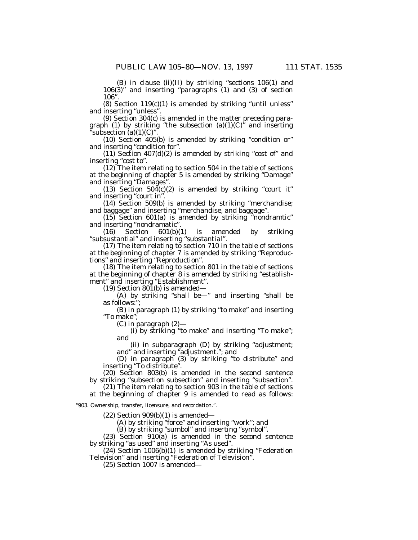(B) in clause (ii)(II) by striking ''sections 106(1) and 106(3)'' and inserting ''paragraphs (1) and (3) of section 106''.

 $(8)$  Section 119 $(c)(1)$  is amended by striking "until unless" and inserting ''unless''.

(9) Section 304(c) is amended in the matter preceding paragraph (1) by striking "the subsection  $(a)(1)(C)$ " and inserting ʻsubsection (a)(1)(C)" $\,$ 

(10) Section 405(b) is amended by striking ''condition or'' and inserting ''condition for''.

(11) Section  $407(d)(2)$  is amended by striking "cost of" and inserting "cost to".

(12) The item relating to section 504 in the table of sections at the beginning of chapter 5 is amended by striking ''Damage'' and inserting ''Damages''.

(13) Section  $50\overline{4}$ (c)(2) is amended by striking "court it" and inserting "court in".

(14) Section 509(b) is amended by striking ''merchandise; and baggage'' and inserting ''merchandise, and baggage''.

(15) Section 601(a) is amended by striking ''nondramtic'' and inserting ''nondramatic''.

(16) Section 601(b)(1) is amended by striking ''subsustantial'' and inserting ''substantial''.

(17) The item relating to section 710 in the table of sections at the beginning of chapter 7 is amended by striking ''Reproductions'' and inserting ''Reproduction''.

(18) The item relating to section 801 in the table of sections at the beginning of chapter 8 is amended by striking ''establishment" and inserting "Establishment".

(19) Section  $801(b)$  is amended—

(A) by striking ''shall be—'' and inserting ''shall be as follows:'';

(B) in paragraph (1) by striking ''to make'' and inserting ''To make'';

(C) in paragraph (2)—

(i) by striking ''to make'' and inserting ''To make''; and

(ii) in subparagraph (D) by striking ''adjustment; and'' and inserting ''adjustment.''; and

(D) in paragraph (3) by striking ''to distribute'' and inserting ''To distribute''.

(20) Section 803(b) is amended in the second sentence by striking "subsection subsection" and inserting "subsection".

(21) The item relating to section 903 in the table of sections at the beginning of chapter 9 is amended to read as follows:

''903. Ownership, transfer, licensure, and recordation.''.

 $(22)$  Section 909 $(b)(1)$  is amended—

(A) by striking "force" and inserting "work"; and

(B) by striking ''sumbol'' and inserting ''symbol''.

(23) Section 910(a) is amended in the second sentence by striking "as used" and inserting "As used".

(24) Section 1006(b)(1) is amended by striking ''Federation Television'' and inserting ''Federation of Television''.

(25) Section 1007 is amended—